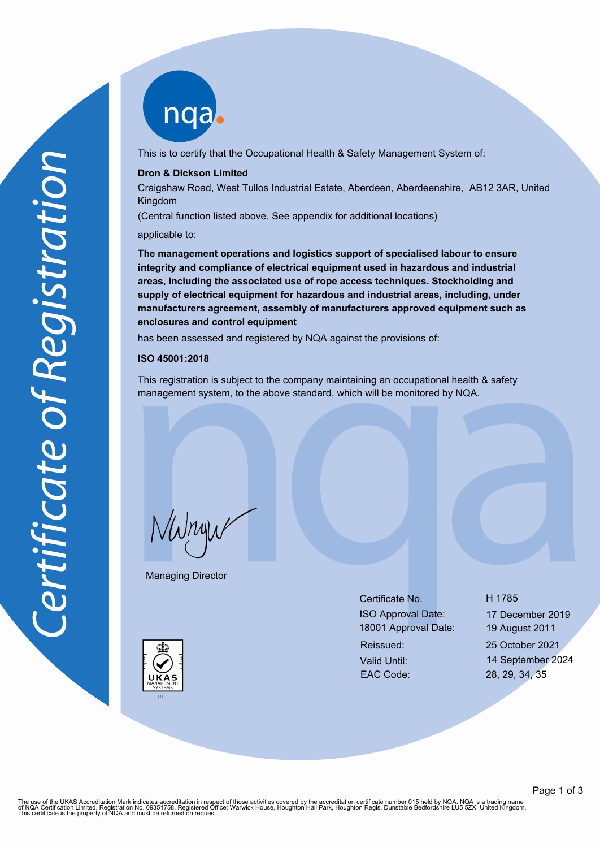

This is to certify that the Occupational Health & Safety Management System of:

#### **Dron & Dickson Limited**

Craigshaw Road, West Tullos Industrial Estate, Aberdeen, Aberdeenshire, AB12 3AR, United Kingdom

(Central function listed above. See appendix for additional locations)

applicable to:

**The management operations and logistics support of specialised labour to ensure integrity and compliance of electrical equipment used in hazardous and industrial areas, including the associated use of rope access techniques. Stockholding and supply of electrical equipment for hazardous and industrial areas, including, under manufacturers agreement, assembly of manufacturers approved equipment such as enclosures and control equipment**

has been assessed and registered by NQA against the provisions of:

#### **ISO 45001:2018**

This registration is subject to the company maintaining an occupational health & safety management system, to the above standard, which will be monitored by NQA.

NWnyw

Managing Director

Certificate No. H 1785 ISO Approval Date: 17 December 2019 18001 Approval Date: 19 August 2011 Reissued: 25 October 2021 Valid Until: 14 September 2024

EAC Code: 28, 29, 34, 35

The use of the UKAS Accreditation Mark indicates accreditation in respect of those activities covered by the accreditation certificate number 015 held by NQA. NQA is a trading name<br>of NQA Certification Limited, Registratio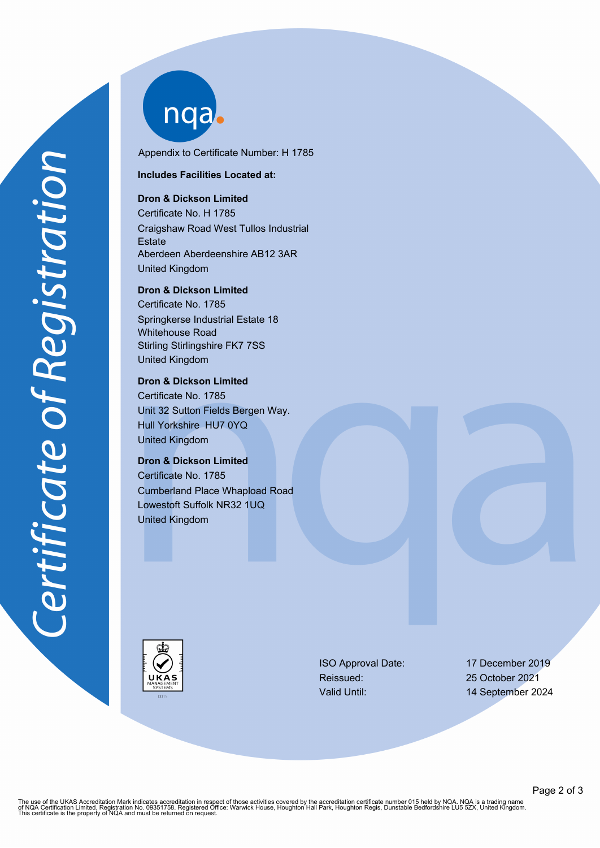nqab

Appendix to Certificate Number: H 1785

#### **Includes Facilities Located at:**

# **Dron & Dickson Limited**

Certificate No. H 1785 Craigshaw Road West Tullos Industrial **Estate** Aberdeen Aberdeenshire AB12 3AR United Kingdom

**Dron & Dickson Limited**

Certificate No. 1785 Springkerse Industrial Estate 18 Whitehouse Road Stirling Stirlingshire FK7 7SS United Kingdom

### **Dron & Dickson Limited**

Certificate No. 1785 Unit 32 Sutton Fields Bergen Way. Hull Yorkshire HU7 0YQ United Kingdom

# **Dron & Dickson Limited**

Certificate No. 1785 Cumberland Place Whapload Road Lowestoft Suffolk NR32 1UQ United Kingdom



ISO Approval Date: 17 December 2019 Reissued: 25 October 2021

Valid Until: 14 September 2024